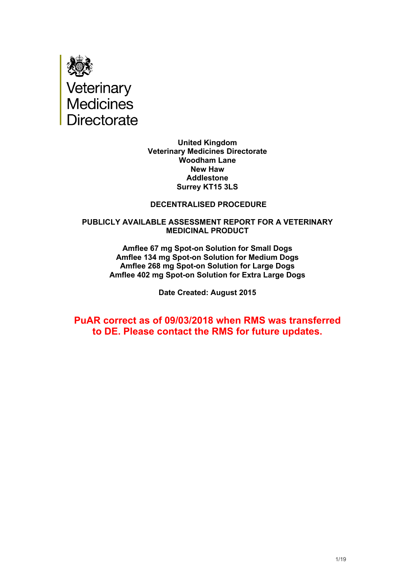

**United Kingdom Veterinary Medicines Directorate Woodham Lane New Haw Addlestone Surrey KT15 3LS**

## **DECENTRALISED PROCEDURE**

#### **PUBLICLY AVAILABLE ASSESSMENT REPORT FOR A VETERINARY MEDICINAL PRODUCT**

**Amflee 67 mg Spot-on Solution for Small Dogs Amflee 134 mg Spot-on Solution for Medium Dogs Amflee 268 mg Spot-on Solution for Large Dogs Amflee 402 mg Spot-on Solution for Extra Large Dogs**

**Date Created: August 2015**

**PuAR correct as of 09/03/2018 when RMS was transferred to DE. Please contact the RMS for future updates.**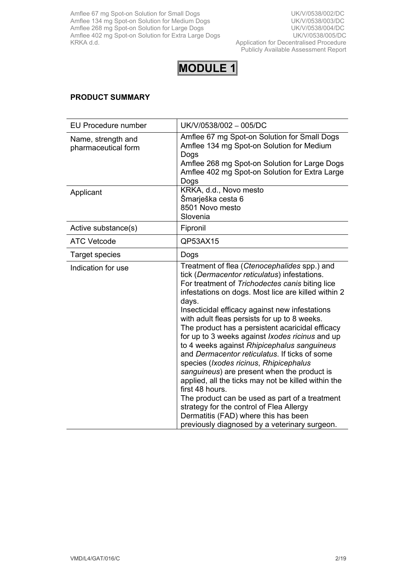Amflee 67 mg Spot-on Solution for Small Dogs Note 2001 100 No. 2010 101 No. 2010 No. 2010 101 No. 2010 No. 20 Amflee 134 mg Spot-on Solution for Medium Dogs 
Whomes The Wave UK/V/0538/003/DC Amflee 268 mg Spot-on Solution for Large Dogs UK/V/0538/004/DC Amflee 402 mg Spot-on Solution for Extra Large Dogs **UK/V/0538/005/DC** KRKA d.d. Application for Decentralised Procedure

Publicly Available Assessment Report



# **PRODUCT SUMMARY**

| <b>EU Procedure number</b>                | UK/V/0538/002 - 005/DC                                                                                                                                                                                                                                                                                                                                                                                                                                                                                                                                                                                                                                                                                                                                                                                                                                                                    |
|-------------------------------------------|-------------------------------------------------------------------------------------------------------------------------------------------------------------------------------------------------------------------------------------------------------------------------------------------------------------------------------------------------------------------------------------------------------------------------------------------------------------------------------------------------------------------------------------------------------------------------------------------------------------------------------------------------------------------------------------------------------------------------------------------------------------------------------------------------------------------------------------------------------------------------------------------|
| Name, strength and<br>pharmaceutical form | Amflee 67 mg Spot-on Solution for Small Dogs<br>Amflee 134 mg Spot-on Solution for Medium<br>Dogs<br>Amflee 268 mg Spot-on Solution for Large Dogs<br>Amflee 402 mg Spot-on Solution for Extra Large<br>Dogs                                                                                                                                                                                                                                                                                                                                                                                                                                                                                                                                                                                                                                                                              |
| Applicant                                 | KRKA, d.d., Novo mesto<br>Šmarješka cesta 6<br>8501 Novo mesto<br>Slovenia                                                                                                                                                                                                                                                                                                                                                                                                                                                                                                                                                                                                                                                                                                                                                                                                                |
| Active substance(s)                       | Fipronil                                                                                                                                                                                                                                                                                                                                                                                                                                                                                                                                                                                                                                                                                                                                                                                                                                                                                  |
| <b>ATC Vetcode</b>                        | QP53AX15                                                                                                                                                                                                                                                                                                                                                                                                                                                                                                                                                                                                                                                                                                                                                                                                                                                                                  |
| <b>Target species</b>                     | Dogs                                                                                                                                                                                                                                                                                                                                                                                                                                                                                                                                                                                                                                                                                                                                                                                                                                                                                      |
| Indication for use                        | Treatment of flea (Ctenocephalides spp.) and<br>tick (Dermacentor reticulatus) infestations.<br>For treatment of Trichodectes canis biting lice<br>infestations on dogs. Most lice are killed within 2<br>days.<br>Insecticidal efficacy against new infestations<br>with adult fleas persists for up to 8 weeks.<br>The product has a persistent acaricidal efficacy<br>for up to 3 weeks against <i>lxodes ricinus</i> and up<br>to 4 weeks against Rhipicephalus sanguineus<br>and Dermacentor reticulatus. If ticks of some<br>species (Ixodes ricinus, Rhipicephalus<br>sanguineus) are present when the product is<br>applied, all the ticks may not be killed within the<br>first 48 hours.<br>The product can be used as part of a treatment<br>strategy for the control of Flea Allergy<br>Dermatitis (FAD) where this has been<br>previously diagnosed by a veterinary surgeon. |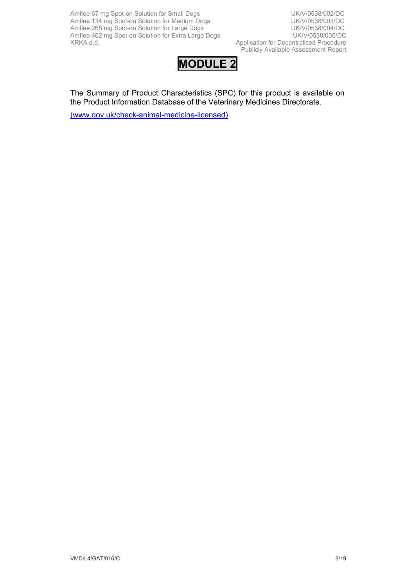Amflee 67 mg Spot-on Solution for Small Dogs UK/V/0538/002/DC Amflee 134 mg Spot-on Solution for Medium Dogs<br>
Amflee 268 mg Spot-on Solution for Large Dogs<br>
UK/V/0538/004/DC Amflee 268 mg Spot-on Solution for Large Dogs<br>Amflee 402 mg Spot-on Solution for Extra Large Dogs<br>UK/V/0538/005/DC Amflee 402 mg Spot-on Solution for Extra Large Dogs<br>KRKA d.d.

Application for Decentralised Procedure Publicly Available Assessment Report



The Summary of Product Characteristics (SPC) for this product is available on the Product Information Database of the Veterinary Medicines Directorate.

[\(www.gov.uk/check-animal-medicine-licensed\)](https://www.gov.uk/check-animal-medicine-licensed)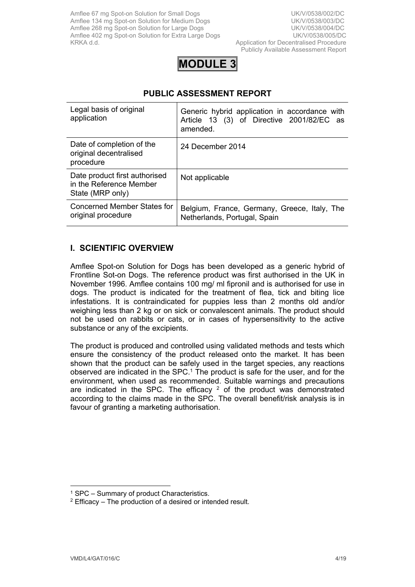Publicly Available Assessment Report



# **PUBLIC ASSESSMENT REPORT**

| Legal basis of original<br>application                                       | Generic hybrid application in accordance with<br>Article 13 (3) of Directive 2001/82/EC as<br>amended. |
|------------------------------------------------------------------------------|--------------------------------------------------------------------------------------------------------|
| Date of completion of the<br>original decentralised<br>procedure             | 24 December 2014                                                                                       |
| Date product first authorised<br>in the Reference Member<br>State (MRP only) | Not applicable                                                                                         |
| Concerned Member States for<br>original procedure                            | Belgium, France, Germany, Greece, Italy, The<br>Netherlands, Portugal, Spain                           |

# **I. SCIENTIFIC OVERVIEW**

Amflee Spot-on Solution for Dogs has been developed as a generic hybrid of Frontline Sot-on Dogs. The reference product was first authorised in the UK in November 1996. Amflee contains 100 mg/ ml fipronil and is authorised for use in dogs. The product is indicated for the treatment of flea, tick and biting lice infestations. It is contraindicated for puppies less than 2 months old and/or weighing less than 2 kg or on sick or convalescent animals. The product should not be used on rabbits or cats, or in cases of hypersensitivity to the active substance or any of the excipients.

The product is produced and controlled using validated methods and tests which ensure the consistency of the product released onto the market. It has been shown that the product can be safely used in the target species, any reactions observed are indicated in the  $SPC<sup>1</sup>$ . The product is safe for the user, and for the environment, when used as recommended. Suitable warnings and precautions are indicated in the SPC. The efficacy  $2$  of the product was demonstrated according to the claims made in the SPC. The overall benefit/risk analysis is in favour of granting a marketing authorisation.

<sup>1</sup> SPC – Summary of product Characteristics.

 $2$  Efficacy – The production of a desired or intended result.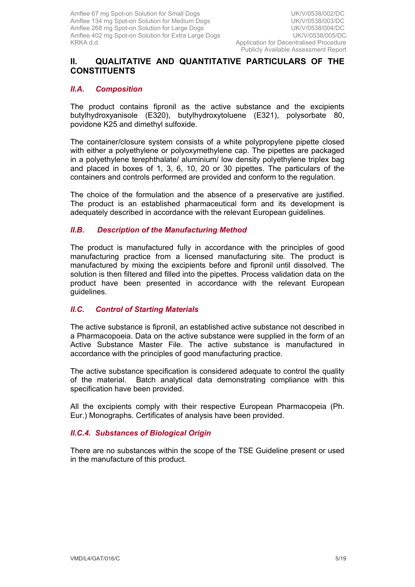# **II. QUALITATIVE AND QUANTITATIVE PARTICULARS OF THE CONSTITUENTS**

#### *II.A. Composition*

The product contains fipronil as the active substance and the excipients butylhydroxyanisole (E320), butylhydroxytoluene (E321), polysorbate 80, povidone K25 and dimethyl sulfoxide.

The container/closure system consists of a white polypropylene pipette closed with either a polyethylene or polyoxymethylene cap. The pipettes are packaged in a polyethylene terephthalate/ aluminium/ low density polyethylene triplex bag and placed in boxes of 1, 3, 6, 10, 20 or 30 pipettes. The particulars of the containers and controls performed are provided and conform to the regulation.

The choice of the formulation and the absence of a preservative are justified. The product is an established pharmaceutical form and its development is adequately described in accordance with the relevant European guidelines.

## *II.B. Description of the Manufacturing Method*

The product is manufactured fully in accordance with the principles of good manufacturing practice from a licensed manufacturing site*.* The product is manufactured by mixing the excipients before and fipronil until dissolved. The solution is then filtered and filled into the pipettes. Process validation data on the product have been presented in accordance with the relevant European guidelines.

#### *II.C. Control of Starting Materials*

The active substance is fipronil, an established active substance not described in a Pharmacopoeia. Data on the active substance were supplied in the form of an Active Substance Master File. The active substance is manufactured in accordance with the principles of good manufacturing practice.

The active substance specification is considered adequate to control the quality of the material. Batch analytical data demonstrating compliance with this specification have been provided.

All the excipients comply with their respective European Pharmacopeia (Ph. Eur.) Monographs. Certificates of analysis have been provided.

#### *II.C.4. Substances of Biological Origin*

There are no substances within the scope of the TSE Guideline present or used in the manufacture of this product*.*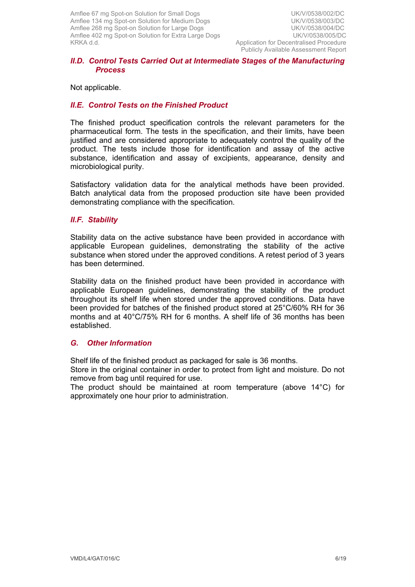#### *II.D. Control Tests Carried Out at Intermediate Stages of the Manufacturing Process*

Not applicable.

## *II.E. Control Tests on the Finished Product*

The finished product specification controls the relevant parameters for the pharmaceutical form. The tests in the specification, and their limits, have been justified and are considered appropriate to adequately control the quality of the product. The tests include those for identification and assay of the active substance, identification and assay of excipients, appearance, density and microbiological purity.

Satisfactory validation data for the analytical methods have been provided. Batch analytical data from the proposed production site have been provided demonstrating compliance with the specification.

## *II.F. Stability*

Stability data on the active substance have been provided in accordance with applicable European guidelines, demonstrating the stability of the active substance when stored under the approved conditions. A retest period of 3 years has been determined.

Stability data on the finished product have been provided in accordance with applicable European guidelines, demonstrating the stability of the product throughout its shelf life when stored under the approved conditions. Data have been provided for batches of the finished product stored at 25°C/60% RH for 36 months and at 40°C/75% RH for 6 months. A shelf life of 36 months has been established.

## *G. Other Information*

Shelf life of the finished product as packaged for sale is 36 months.

Store in the original container in order to protect from light and moisture. Do not remove from bag until required for use.

The product should be maintained at room temperature (above 14°C) for approximately one hour prior to administration.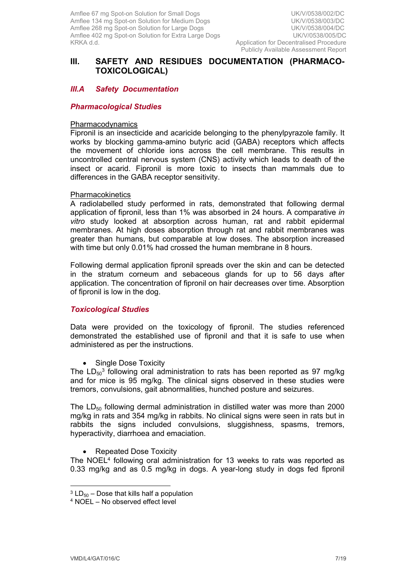## **III. SAFETY AND RESIDUES DOCUMENTATION (PHARMACO-TOXICOLOGICAL)**

## *III.A Safety Documentation*

#### *Pharmacological Studies*

#### Pharmacodynamics

Fipronil is an insecticide and acaricide belonging to the phenylpyrazole family. It works by blocking gamma-amino butyric acid (GABA) receptors which affects the movement of chloride ions across the cell membrane. This results in uncontrolled central nervous system (CNS) activity which leads to death of the insect or acarid. Fipronil is more toxic to insects than mammals due to differences in the GABA receptor sensitivity.

#### **Pharmacokinetics**

A radiolabelled study performed in rats, demonstrated that following dermal application of fipronil, less than 1% was absorbed in 24 hours. A comparative *in vitro* study looked at absorption across human, rat and rabbit epidermal membranes. At high doses absorption through rat and rabbit membranes was greater than humans, but comparable at low doses. The absorption increased with time but only 0.01% had crossed the human membrane in 8 hours.

Following dermal application fipronil spreads over the skin and can be detected in the stratum corneum and sebaceous glands for up to 56 days after application. The concentration of fipronil on hair decreases over time. Absorption of fipronil is low in the dog.

#### *Toxicological Studies*

Data were provided on the toxicology of fipronil. The studies referenced demonstrated the established use of fipronil and that it is safe to use when administered as per the instructions.

• Single Dose Toxicity

The  $LD_{50}^3$  following oral administration to rats has been reported as 97 mg/kg and for mice is 95 mg/kg. The clinical signs observed in these studies were tremors, convulsions, gait abnormalities, hunched posture and seizures.

The  $LD_{50}$  following dermal administration in distilled water was more than 2000 mg/kg in rats and 354 mg/kg in rabbits. No clinical signs were seen in rats but in rabbits the signs included convulsions, sluggishness, spasms, tremors, hyperactivity, diarrhoea and emaciation.

Repeated Dose Toxicity

The NOEL<sup>4</sup> following oral administration for 13 weeks to rats was reported as 0.33 mg/kg and as 0.5 mg/kg in dogs. A year-long study in dogs fed fipronil

 $3$  LD $_{50}$  – Dose that kills half a population

<sup>4</sup> NOEL – No observed effect level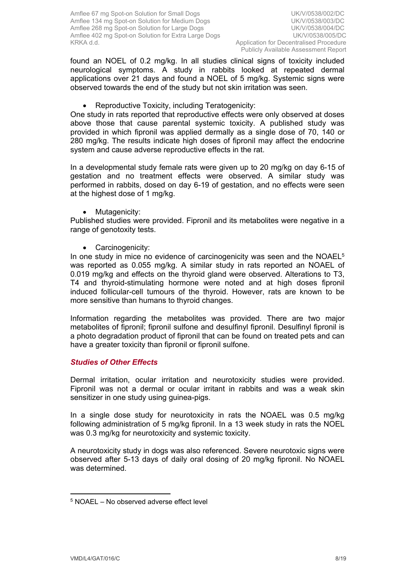found an NOEL of 0.2 mg/kg. In all studies clinical signs of toxicity included neurological symptoms. A study in rabbits looked at repeated dermal applications over 21 days and found a NOEL of 5 mg/kg. Systemic signs were observed towards the end of the study but not skin irritation was seen.

Reproductive Toxicity, including Teratogenicity:

One study in rats reported that reproductive effects were only observed at doses above those that cause parental systemic toxicity. A published study was provided in which fipronil was applied dermally as a single dose of 70, 140 or 280 mg/kg. The results indicate high doses of fipronil may affect the endocrine system and cause adverse reproductive effects in the rat.

In a developmental study female rats were given up to 20 mg/kg on day 6-15 of gestation and no treatment effects were observed. A similar study was performed in rabbits, dosed on day 6-19 of gestation, and no effects were seen at the highest dose of 1 mg/kg.

• Mutagenicity:

Published studies were provided. Fipronil and its metabolites were negative in a range of genotoxity tests.

Carcinogenicity:

In one study in mice no evidence of carcinogenicity was seen and the  $NOAEL<sup>5</sup>$ was reported as 0.055 mg/kg. A similar study in rats reported an NOAEL of 0.019 mg/kg and effects on the thyroid gland were observed. Alterations to T3, T4 and thyroid-stimulating hormone were noted and at high doses fipronil induced follicular-cell tumours of the thyroid. However, rats are known to be more sensitive than humans to thyroid changes.

Information regarding the metabolites was provided. There are two major metabolites of fipronil; fipronil sulfone and desulfinyl fipronil. Desulfinyl fipronil is a photo degradation product of fipronil that can be found on treated pets and can have a greater toxicity than fipronil or fipronil sulfone.

## *Studies of Other Effects*

Dermal irritation, ocular irritation and neurotoxicity studies were provided. Fipronil was not a dermal or ocular irritant in rabbits and was a weak skin sensitizer in one study using guinea-pigs.

In a single dose study for neurotoxicity in rats the NOAEL was 0.5 mg/kg following administration of 5 mg/kg fipronil. In a 13 week study in rats the NOEL was 0.3 mg/kg for neurotoxicity and systemic toxicity.

A neurotoxicity study in dogs was also referenced. Severe neurotoxic signs were observed after 5-13 days of daily oral dosing of 20 mg/kg fipronil. No NOAEL was determined.

<sup>5</sup> NOAEL – No observed adverse effect level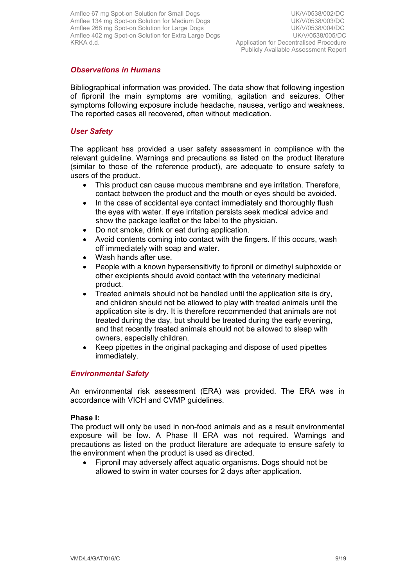## *Observations in Humans*

Bibliographical information was provided. The data show that following ingestion of fipronil the main symptoms are vomiting, agitation and seizures. Other symptoms following exposure include headache, nausea, vertigo and weakness. The reported cases all recovered, often without medication.

## *User Safety*

The applicant has provided a user safety assessment in compliance with the relevant guideline. Warnings and precautions as listed on the product literature (similar to those of the reference product), are adequate to ensure safety to users of the product.

- This product can cause mucous membrane and eye irritation. Therefore, contact between the product and the mouth or eyes should be avoided.
- In the case of accidental eye contact immediately and thoroughly flush the eyes with water. If eye irritation persists seek medical advice and show the package leaflet or the label to the physician.
- Do not smoke, drink or eat during application.
- Avoid contents coming into contact with the fingers. If this occurs, wash off immediately with soap and water.
- Wash hands after use.
- People with a known hypersensitivity to fipronil or dimethyl sulphoxide or other excipients should avoid contact with the veterinary medicinal product.
- Treated animals should not be handled until the application site is dry, and children should not be allowed to play with treated animals until the application site is dry. It is therefore recommended that animals are not treated during the day, but should be treated during the early evening, and that recently treated animals should not be allowed to sleep with owners, especially children.
- Keep pipettes in the original packaging and dispose of used pipettes immediately.

## *Environmental Safety*

An environmental risk assessment (ERA) was provided. The ERA was in accordance with VICH and CVMP guidelines.

#### **Phase I:**

The product will only be used in non-food animals and as a result environmental exposure will be low. A Phase II ERA was not required. Warnings and precautions as listed on the product literature are adequate to ensure safety to the environment when the product is used as directed.

 Fipronil may adversely affect aquatic organisms. Dogs should not be allowed to swim in water courses for 2 days after application.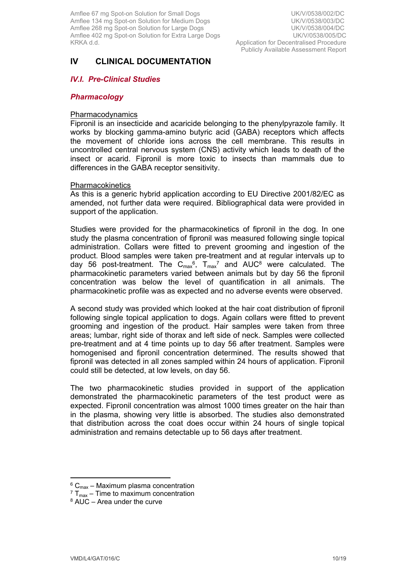# **IV CLINICAL DOCUMENTATION**

## *IV.I. Pre-Clinical Studies*

#### *Pharmacology*

#### Pharmacodynamics

Fipronil is an insecticide and acaricide belonging to the phenylpyrazole family. It works by blocking gamma-amino butyric acid (GABA) receptors which affects the movement of chloride ions across the cell membrane. This results in uncontrolled central nervous system (CNS) activity which leads to death of the insect or acarid. Fipronil is more toxic to insects than mammals due to differences in the GABA receptor sensitivity.

#### Pharmacokinetics

As this is a generic hybrid application according to EU Directive 2001/82/EC as amended, not further data were required. Bibliographical data were provided in support of the application.

Studies were provided for the pharmacokinetics of fipronil in the dog. In one study the plasma concentration of fipronil was measured following single topical administration. Collars were fitted to prevent grooming and ingestion of the product. Blood samples were taken pre-treatment and at regular intervals up to day 56 post-treatment. The  $C_{max}$ <sup>6</sup>,  $T_{max}$ <sup>7</sup> and AUC<sup>8</sup> were calculated. The pharmacokinetic parameters varied between animals but by day 56 the fipronil concentration was below the level of quantification in all animals. The pharmacokinetic profile was as expected and no adverse events were observed.

A second study was provided which looked at the hair coat distribution of fipronil following single topical application to dogs. Again collars were fitted to prevent grooming and ingestion of the product. Hair samples were taken from three areas; lumbar, right side of thorax and left side of neck. Samples were collected pre-treatment and at 4 time points up to day 56 after treatment. Samples were homogenised and fipronil concentration determined. The results showed that fipronil was detected in all zones sampled within 24 hours of application. Fipronil could still be detected, at low levels, on day 56.

The two pharmacokinetic studies provided in support of the application demonstrated the pharmacokinetic parameters of the test product were as expected. Fipronil concentration was almost 1000 times greater on the hair than in the plasma, showing very little is absorbed. The studies also demonstrated that distribution across the coat does occur within 24 hours of single topical administration and remains detectable up to 56 days after treatment.

 $^6$  C<sub>max</sub> – Maximum plasma concentration

 $7 T_{\text{max}}$  – Time to maximum concentration

<sup>8</sup> AUC – Area under the curve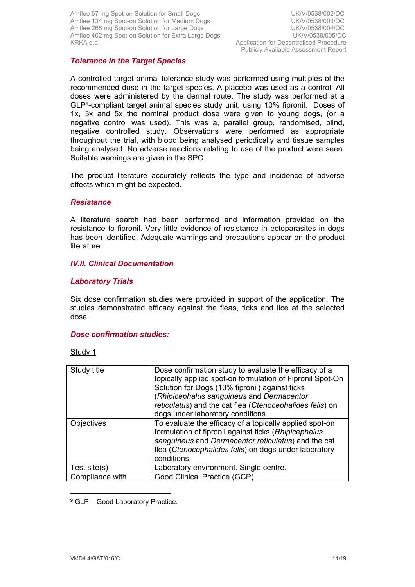## *Tolerance in the Target Species*

A controlled target animal tolerance study was performed using multiples of the recommended dose in the target species. A placebo was used as a control. All doses were administered by the dermal route. The study was performed at a GLP<sup>9</sup> -compliant target animal species study unit, using 10% fipronil. Doses of 1x, 3x and 5x the nominal product dose were given to young dogs, (or a negative control was used). This was a, parallel group, randomised, blind, negative controlled study. Observations were performed as appropriate throughout the trial, with blood being analysed periodically and tissue samples being analysed. No adverse reactions relating to use of the product were seen. Suitable warnings are given in the SPC.

The product literature accurately reflects the type and incidence of adverse effects which might be expected.

#### *Resistance*

A literature search had been performed and information provided on the resistance to fipronil. Very little evidence of resistance in ectoparasites in dogs has been identified. Adequate warnings and precautions appear on the product literature.

## *IV.II. Clinical Documentation*

#### *Laboratory Trials*

Six dose confirmation studies were provided in support of the application. The studies demonstrated efficacy against the fleas, ticks and lice at the selected dose.

#### *Dose confirmation studies:*

Study 1

| Study title     | Dose confirmation study to evaluate the efficacy of a<br>topically applied spot-on formulation of Fipronil Spot-On<br>Solution for Dogs (10% fipronil) against ticks<br>(Rhipicephalus sanguineus and Dermacentor<br>reticulatus) and the cat flea (Ctenocephalides felis) on<br>dogs under laboratory conditions. |
|-----------------|--------------------------------------------------------------------------------------------------------------------------------------------------------------------------------------------------------------------------------------------------------------------------------------------------------------------|
| Objectives      | To evaluate the efficacy of a topically applied spot-on<br>formulation of fipronil against ticks (Rhipicephalus<br>sanguineus and Dermacentor reticulatus) and the cat<br>flea (Ctenocephalides felis) on dogs under laboratory<br>conditions.                                                                     |
| Test site $(s)$ | Laboratory environment. Single centre.                                                                                                                                                                                                                                                                             |
| Compliance with | Good Clinical Practice (GCP)                                                                                                                                                                                                                                                                                       |

<sup>9</sup> GLP - Good Laboratory Practice.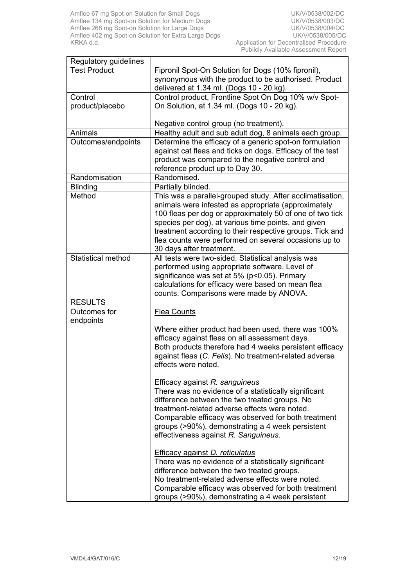| Regulatory guidelines      |                                                                                                                                                                                                                                                                                                                                                                                      |
|----------------------------|--------------------------------------------------------------------------------------------------------------------------------------------------------------------------------------------------------------------------------------------------------------------------------------------------------------------------------------------------------------------------------------|
| <b>Test Product</b>        | Fipronil Spot-On Solution for Dogs (10% fipronil),<br>synonymous with the product to be authorised. Product<br>delivered at 1.34 ml. (Dogs 10 - 20 kg).                                                                                                                                                                                                                              |
| Control<br>product/placebo | Control product, Frontline Spot On Dog 10% w/v Spot-<br>On Solution, at 1.34 ml. (Dogs 10 - 20 kg).                                                                                                                                                                                                                                                                                  |
|                            | Negative control group (no treatment).                                                                                                                                                                                                                                                                                                                                               |
| Animals                    | Healthy adult and sub adult dog, 8 animals each group.                                                                                                                                                                                                                                                                                                                               |
| Outcomes/endpoints         | Determine the efficacy of a generic spot-on formulation<br>against cat fleas and ticks on dogs. Efficacy of the test<br>product was compared to the negative control and<br>reference product up to Day 30.                                                                                                                                                                          |
| Randomisation              | Randomised.                                                                                                                                                                                                                                                                                                                                                                          |
| <b>Blinding</b>            | Partially blinded.                                                                                                                                                                                                                                                                                                                                                                   |
| Method                     | This was a parallel-grouped study. After acclimatisation,<br>animals were infested as appropriate (approximately<br>100 fleas per dog or approximately 50 of one of two tick<br>species per dog), at various time points, and given<br>treatment according to their respective groups. Tick and<br>flea counts were performed on several occasions up to<br>30 days after treatment. |
| Statistical method         | All tests were two-sided. Statistical analysis was<br>performed using appropriate software. Level of<br>significance was set at 5% (p<0.05). Primary<br>calculations for efficacy were based on mean flea<br>counts. Comparisons were made by ANOVA.                                                                                                                                 |
| <b>RESULTS</b>             |                                                                                                                                                                                                                                                                                                                                                                                      |
| Outcomes for<br>endpoints  | <b>Flea Counts</b><br>Where either product had been used, there was 100%<br>efficacy against fleas on all assessment days.<br>Both products therefore had 4 weeks persistent efficacy<br>against fleas (C. Felis). No treatment-related adverse<br>effects were noted.                                                                                                               |
|                            | <b>Efficacy against R. sanguineus</b><br>There was no evidence of a statistically significant<br>difference between the two treated groups. No<br>treatment-related adverse effects were noted.<br>Comparable efficacy was observed for both treatment<br>groups (>90%), demonstrating a 4 week persistent<br>effectiveness against R. Sanguineus.                                   |
|                            | <b>Efficacy against D. reticulatus</b><br>There was no evidence of a statistically significant<br>difference between the two treated groups.<br>No treatment-related adverse effects were noted.<br>Comparable efficacy was observed for both treatment<br>groups (>90%), demonstrating a 4 week persistent                                                                          |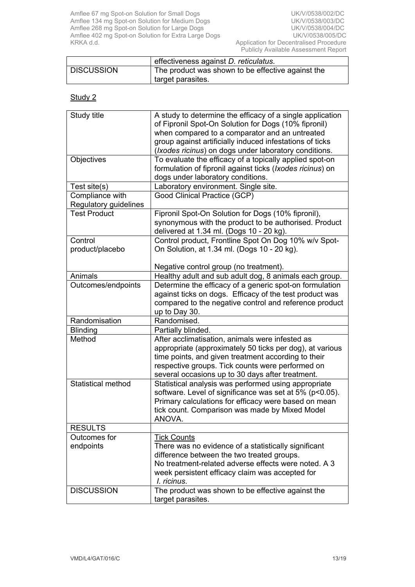Amflee 67 mg Spot-on Solution for Small Dogs Note 2001 100 No. 2010 101 No. 2010 No. 2010 101 No. 2010 No. 20 Amflee 134 mg Spot-on Solution for Medium Dogs 
Whomes The Wave UK/V/0538/003/DC Amflee 268 mg Spot-on Solution for Large Dogs UK/V/0538/004/DC Amflee 402 mg Spot-on Solution for Extra Large Dogs **UK/V/0538/005/DC** KRKA d.d. **Application for Decentralised Procedure** 

|                   | effectiveness against <i>D. reticulatus</i> .     |
|-------------------|---------------------------------------------------|
| <b>DISCUSSION</b> | The product was shown to be effective against the |
|                   | target parasites.                                 |

| Study title               | A study to determine the efficacy of a single application                                                |
|---------------------------|----------------------------------------------------------------------------------------------------------|
|                           | of Fipronil Spot-On Solution for Dogs (10% fipronil)                                                     |
|                           | when compared to a comparator and an untreated                                                           |
|                           | group against artificially induced infestations of ticks                                                 |
|                           | (Ixodes ricinus) on dogs under laboratory conditions.                                                    |
| Objectives                | To evaluate the efficacy of a topically applied spot-on                                                  |
|                           | formulation of fipronil against ticks (Ixodes ricinus) on                                                |
|                           | dogs under laboratory conditions.                                                                        |
| Test site(s)              | Laboratory environment. Single site.                                                                     |
| Compliance with           | Good Clinical Practice (GCP)                                                                             |
| Regulatory guidelines     |                                                                                                          |
| <b>Test Product</b>       | Fipronil Spot-On Solution for Dogs (10% fipronil),                                                       |
|                           | synonymous with the product to be authorised. Product                                                    |
|                           | delivered at 1.34 ml. (Dogs 10 - 20 kg).                                                                 |
| Control                   | Control product, Frontline Spot On Dog 10% w/v Spot-                                                     |
| product/placebo           | On Solution, at 1.34 ml. (Dogs 10 - 20 kg).                                                              |
|                           |                                                                                                          |
|                           | Negative control group (no treatment).                                                                   |
| Animals                   | Healthy adult and sub adult dog, 8 animals each group.                                                   |
| Outcomes/endpoints        | Determine the efficacy of a generic spot-on formulation                                                  |
|                           | against ticks on dogs. Efficacy of the test product was                                                  |
|                           | compared to the negative control and reference product                                                   |
|                           | up to Day 30.                                                                                            |
| Randomisation             | Randomised.                                                                                              |
| <b>Blinding</b>           | Partially blinded.                                                                                       |
| Method                    | After acclimatisation, animals were infested as                                                          |
|                           | appropriate (approximately 50 ticks per dog), at various                                                 |
|                           | time points, and given treatment according to their                                                      |
|                           | respective groups. Tick counts were performed on                                                         |
| <b>Statistical method</b> | several occasions up to 30 days after treatment.<br>Statistical analysis was performed using appropriate |
|                           | software. Level of significance was set at 5% (p<0.05).                                                  |
|                           | Primary calculations for efficacy were based on mean                                                     |
|                           | tick count. Comparison was made by Mixed Model                                                           |
|                           | ANOVA.                                                                                                   |
| <b>RESULTS</b>            |                                                                                                          |
| Outcomes for              | <b>Tick Counts</b>                                                                                       |
| endpoints                 | There was no evidence of a statistically significant                                                     |
|                           | difference between the two treated groups.                                                               |
|                           | No treatment-related adverse effects were noted. A 3                                                     |
|                           | week persistent efficacy claim was accepted for                                                          |
|                           | I. ricinus.                                                                                              |
| <b>DISCUSSION</b>         | The product was shown to be effective against the                                                        |
|                           | target parasites.                                                                                        |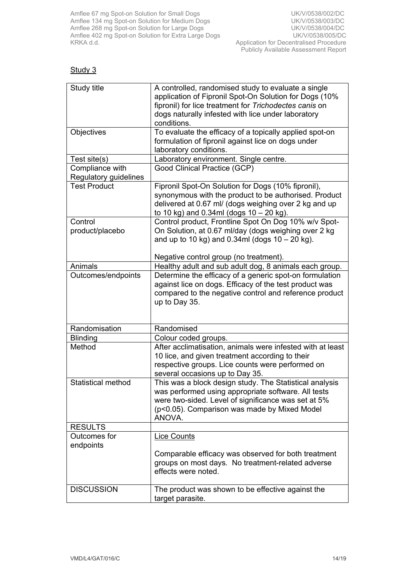Amflee 67 mg Spot-on Solution for Small Dogs Note 2001 100 No. 2010 101 No. 2010 No. 2010 101 No. 2010 No. 20 Amflee 134 mg Spot-on Solution for Medium Dogs 
Whomes The Wave UK/V/0538/003/DC Amflee 268 mg Spot-on Solution for Large Dogs UK/V/0538/004/DC Amflee 402 mg Spot-on Solution for Extra Large Dogs **UK/V/0538/005/DC** KRKA d.d. Application for Decentralised Procedure

| Study title                              | A controlled, randomised study to evaluate a single<br>application of Fipronil Spot-On Solution for Dogs (10%<br>fipronil) for lice treatment for Trichodectes canis on<br>dogs naturally infested with lice under laboratory<br>conditions. |
|------------------------------------------|----------------------------------------------------------------------------------------------------------------------------------------------------------------------------------------------------------------------------------------------|
| Objectives                               | To evaluate the efficacy of a topically applied spot-on<br>formulation of fipronil against lice on dogs under<br>laboratory conditions.                                                                                                      |
| Test site(s)                             | Laboratory environment. Single centre.                                                                                                                                                                                                       |
| Compliance with<br>Regulatory guidelines | Good Clinical Practice (GCP)                                                                                                                                                                                                                 |
| <b>Test Product</b>                      | Fipronil Spot-On Solution for Dogs (10% fipronil),<br>synonymous with the product to be authorised. Product<br>delivered at 0.67 ml/ (dogs weighing over 2 kg and up<br>to 10 kg) and $0.34$ ml (dogs $10 - 20$ kg).                         |
| Control<br>product/placebo               | Control product, Frontline Spot On Dog 10% w/v Spot-<br>On Solution, at 0.67 ml/day (dogs weighing over 2 kg<br>and up to 10 kg) and 0.34ml (dogs $10 - 20$ kg).                                                                             |
|                                          | Negative control group (no treatment).                                                                                                                                                                                                       |
| Animals                                  | Healthy adult and sub adult dog, 8 animals each group.                                                                                                                                                                                       |
| Outcomes/endpoints                       | Determine the efficacy of a generic spot-on formulation<br>against lice on dogs. Efficacy of the test product was<br>compared to the negative control and reference product<br>up to Day 35.                                                 |
| Randomisation                            | Randomised                                                                                                                                                                                                                                   |
| <b>Blinding</b>                          | Colour coded groups.                                                                                                                                                                                                                         |
| Method                                   | After acclimatisation, animals were infested with at least<br>10 lice, and given treatment according to their<br>respective groups. Lice counts were performed on<br>several occasions up to Day 35.                                         |
| <b>Statistical method</b>                | This was a block design study. The Statistical analysis<br>was performed using appropriate software. All tests<br>were two-sided. Level of significance was set at 5%<br>(p<0.05). Comparison was made by Mixed Model<br>ANOVA.              |
| <b>RESULTS</b>                           |                                                                                                                                                                                                                                              |
| Outcomes for<br>endpoints                | <b>Lice Counts</b><br>Comparable efficacy was observed for both treatment<br>groups on most days. No treatment-related adverse<br>effects were noted.                                                                                        |
| <b>DISCUSSION</b>                        | The product was shown to be effective against the<br>target parasite.                                                                                                                                                                        |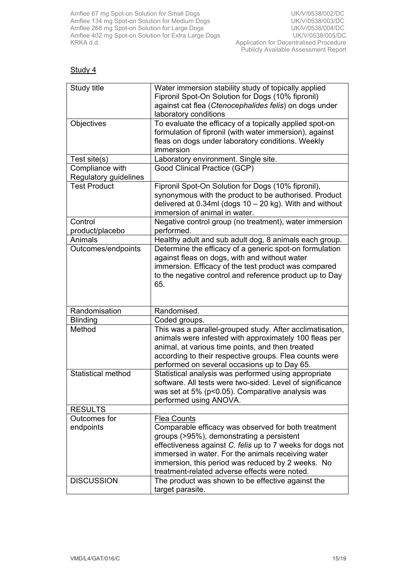Amflee 67 mg Spot-on Solution for Small Dogs<br>
Amflee 134 mg Spot-on Solution for Medium Dogs<br>
UK/V/0538/003/DC Amflee 134 mg Spot-on Solution for Medium Dogs<br>
Amflee 268 mg Spot-on Solution for Large Dogs<br>
UK/V/0538/004/DC Amflee 268 mg Spot-on Solution for Large Dogs UK/V/0538/004/DC Amflee 402 mg Spot-on Solution for Extra Large Dogs **UK/V/0538/005/DC** KRKA d.d. Application for Decentralised Procedure

| Study title                              | Water immersion stability study of topically applied<br>Fipronil Spot-On Solution for Dogs (10% fipronil)<br>against cat flea (Ctenocephalides felis) on dogs under<br>laboratory conditions                                                                                                                                             |
|------------------------------------------|------------------------------------------------------------------------------------------------------------------------------------------------------------------------------------------------------------------------------------------------------------------------------------------------------------------------------------------|
| <b>Objectives</b>                        | To evaluate the efficacy of a topically applied spot-on<br>formulation of fipronil (with water immersion), against<br>fleas on dogs under laboratory conditions. Weekly<br>immersion                                                                                                                                                     |
| Test site(s)                             | Laboratory environment. Single site.                                                                                                                                                                                                                                                                                                     |
| Compliance with<br>Regulatory guidelines | Good Clinical Practice (GCP)                                                                                                                                                                                                                                                                                                             |
| <b>Test Product</b>                      | Fipronil Spot-On Solution for Dogs (10% fipronil),<br>synonymous with the product to be authorised. Product<br>delivered at 0.34ml (dogs 10 - 20 kg). With and without<br>immersion of animal in water.                                                                                                                                  |
| Control<br>product/placebo               | Negative control group (no treatment), water immersion<br>performed.                                                                                                                                                                                                                                                                     |
| Animals                                  | Healthy adult and sub adult dog, 8 animals each group.                                                                                                                                                                                                                                                                                   |
| Outcomes/endpoints                       | Determine the efficacy of a generic spot-on formulation<br>against fleas on dogs, with and without water<br>immersion. Efficacy of the test product was compared<br>to the negative control and reference product up to Day<br>65.                                                                                                       |
| Randomisation                            | Randomised.                                                                                                                                                                                                                                                                                                                              |
| <b>Blinding</b>                          | Coded groups.                                                                                                                                                                                                                                                                                                                            |
| Method                                   | This was a parallel-grouped study. After acclimatisation,<br>animals were infested with approximately 100 fleas per<br>animal, at various time points, and then treated<br>according to their respective groups. Flea counts were<br>performed on several occasions up to Day 65.                                                        |
| <b>Statistical method</b>                | Statistical analysis was performed using appropriate<br>software. All tests were two-sided. Level of significance<br>was set at 5% (p<0.05). Comparative analysis was<br>performed using ANOVA.                                                                                                                                          |
| <b>RESULTS</b>                           |                                                                                                                                                                                                                                                                                                                                          |
| Outcomes for<br>endpoints                | Flea Counts<br>Comparable efficacy was observed for both treatment<br>groups (>95%), demonstrating a persistent<br>effectiveness against C. felis up to 7 weeks for dogs not<br>immersed in water. For the animals receiving water<br>immersion, this period was reduced by 2 weeks. No<br>treatment-related adverse effects were noted. |
| <b>DISCUSSION</b>                        | The product was shown to be effective against the<br>target parasite.                                                                                                                                                                                                                                                                    |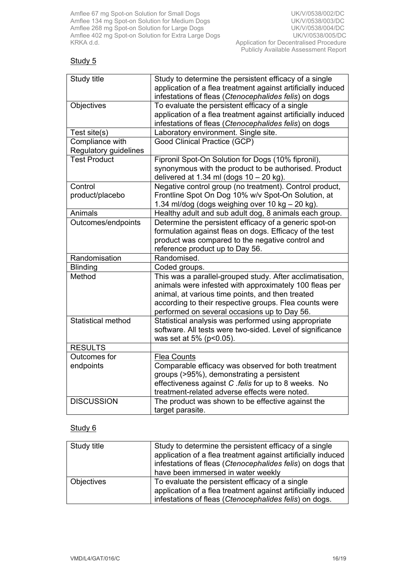# Study 5

| Study title               | Study to determine the persistent efficacy of a single                                                                |
|---------------------------|-----------------------------------------------------------------------------------------------------------------------|
|                           | application of a flea treatment against artificially induced<br>infestations of fleas (Ctenocephalides felis) on dogs |
| Objectives                | To evaluate the persistent efficacy of a single                                                                       |
|                           | application of a flea treatment against artificially induced                                                          |
|                           | infestations of fleas (Ctenocephalides felis) on dogs                                                                 |
| Test site(s)              | Laboratory environment. Single site.                                                                                  |
| Compliance with           | Good Clinical Practice (GCP)                                                                                          |
| Regulatory guidelines     |                                                                                                                       |
| <b>Test Product</b>       | Fipronil Spot-On Solution for Dogs (10% fipronil),                                                                    |
|                           | synonymous with the product to be authorised. Product                                                                 |
|                           | delivered at 1.34 ml (dogs $10 - 20$ kg).                                                                             |
| Control                   | Negative control group (no treatment). Control product,                                                               |
| product/placebo           | Frontline Spot On Dog 10% w/v Spot-On Solution, at                                                                    |
|                           | 1.34 ml/dog (dogs weighing over 10 kg - 20 kg).                                                                       |
| Animals                   | Healthy adult and sub adult dog, 8 animals each group.                                                                |
| Outcomes/endpoints        | Determine the persistent efficacy of a generic spot-on                                                                |
|                           | formulation against fleas on dogs. Efficacy of the test                                                               |
|                           | product was compared to the negative control and                                                                      |
|                           | reference product up to Day 56.                                                                                       |
| Randomisation             | Randomised.                                                                                                           |
| <b>Blinding</b>           | Coded groups.                                                                                                         |
| Method                    | This was a parallel-grouped study. After acclimatisation,                                                             |
|                           | animals were infested with approximately 100 fleas per                                                                |
|                           | animal, at various time points, and then treated                                                                      |
|                           | according to their respective groups. Flea counts were                                                                |
|                           | performed on several occasions up to Day 56.                                                                          |
| <b>Statistical method</b> | Statistical analysis was performed using appropriate                                                                  |
|                           | software. All tests were two-sided. Level of significance                                                             |
|                           | was set at 5% (p<0.05).                                                                                               |
| <b>RESULTS</b>            |                                                                                                                       |
| Outcomes for              | <b>Flea Counts</b>                                                                                                    |
| endpoints                 | Comparable efficacy was observed for both treatment                                                                   |
|                           | groups (>95%), demonstrating a persistent                                                                             |
|                           | effectiveness against C .felis for up to 8 weeks. No                                                                  |
|                           | treatment-related adverse effects were noted.                                                                         |
| <b>DISCUSSION</b>         | The product was shown to be effective against the                                                                     |
|                           | target parasite.                                                                                                      |

| Study title | Study to determine the persistent efficacy of a single<br>application of a flea treatment against artificially induced<br>infestations of fleas (Ctenocephalides felis) on dogs that<br>have been immersed in water weekly |
|-------------|----------------------------------------------------------------------------------------------------------------------------------------------------------------------------------------------------------------------------|
| Objectives  | To evaluate the persistent efficacy of a single<br>application of a flea treatment against artificially induced<br>infestations of fleas (Ctenocephalides felis) on dogs.                                                  |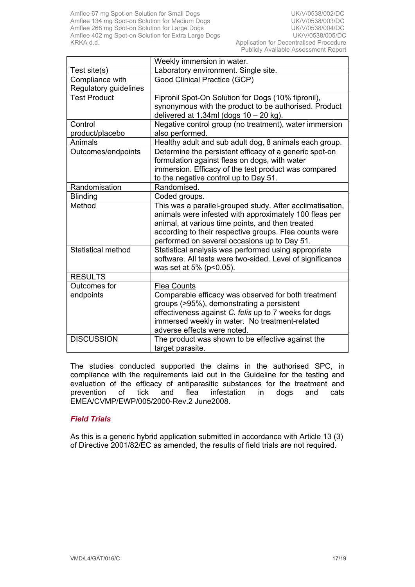|                           | Weekly immersion in water.                                                    |
|---------------------------|-------------------------------------------------------------------------------|
| Test site(s)              | Laboratory environment. Single site.                                          |
| Compliance with           | Good Clinical Practice (GCP)                                                  |
| Regulatory guidelines     |                                                                               |
| <b>Test Product</b>       | Fipronil Spot-On Solution for Dogs (10% fipronil),                            |
|                           | synonymous with the product to be authorised. Product                         |
|                           | delivered at $1.34$ ml (dogs $10 - 20$ kg).                                   |
| Control                   | Negative control group (no treatment), water immersion                        |
| product/placebo           | also performed.                                                               |
| Animals                   | Healthy adult and sub adult dog, 8 animals each group.                        |
| Outcomes/endpoints        | Determine the persistent efficacy of a generic spot-on                        |
|                           | formulation against fleas on dogs, with water                                 |
|                           | immersion. Efficacy of the test product was compared                          |
|                           | to the negative control up to Day 51.                                         |
| Randomisation             | Randomised.                                                                   |
| <b>Blinding</b>           | Coded groups.                                                                 |
| Method                    | This was a parallel-grouped study. After acclimatisation,                     |
|                           | animals were infested with approximately 100 fleas per                        |
|                           | animal, at various time points, and then treated                              |
|                           | according to their respective groups. Flea counts were                        |
|                           | performed on several occasions up to Day 51.                                  |
| <b>Statistical method</b> | Statistical analysis was performed using appropriate                          |
|                           | software. All tests were two-sided. Level of significance                     |
|                           | was set at 5% (p<0.05).                                                       |
| <b>RESULTS</b>            |                                                                               |
| Outcomes for              | <b>Flea Counts</b>                                                            |
| endpoints                 | Comparable efficacy was observed for both treatment                           |
|                           | groups (>95%), demonstrating a persistent                                     |
|                           | effectiveness against C. felis up to 7 weeks for dogs                         |
|                           | immersed weekly in water. No treatment-related<br>adverse effects were noted. |
| <b>DISCUSSION</b>         |                                                                               |
|                           | The product was shown to be effective against the                             |
|                           | target parasite.                                                              |

The studies conducted supported the claims in the authorised SPC, in compliance with the requirements laid out in the Guideline for the testing and evaluation of the efficacy of antiparasitic substances for the treatment and prevention of tick and flea infestation in dogs and cats EMEA/CVMP/EWP/005/2000-Rev.2 June2008.

## *Field Trials*

As this is a generic hybrid application submitted in accordance with Article 13 (3) of Directive 2001/82/EC as amended, the results of field trials are not required.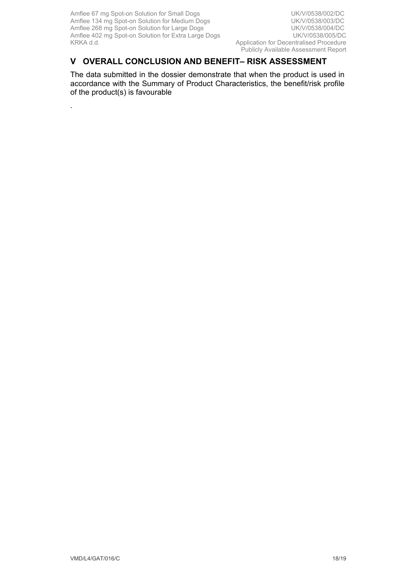.

Publicly Available Assessment Report

# **V OVERALL CONCLUSION AND BENEFIT– RISK ASSESSMENT**

The data submitted in the dossier demonstrate that when the product is used in accordance with the Summary of Product Characteristics, the benefit/risk profile of the product(s) is favourable